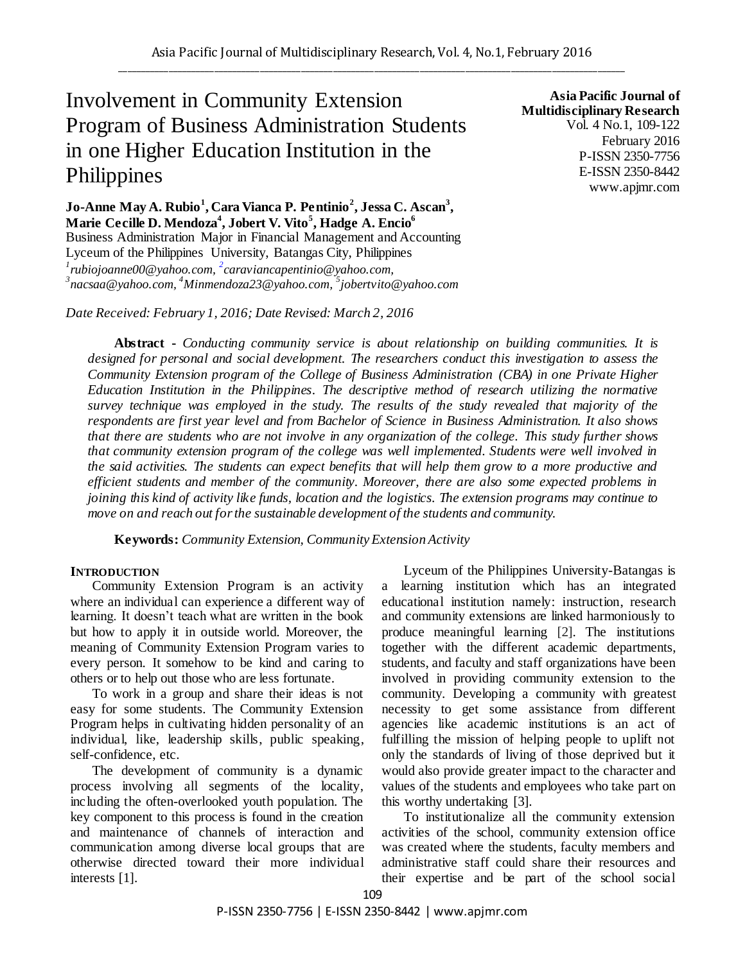# Involvement in Community Extension Program of Business Administration Students in one Higher Education Institution in the Philippines

**Asia Pacific Journal of Multidisciplinary Research** Vol. 4 No.1, 109-122 February 2016 P-ISSN 2350-7756 E-ISSN 2350-8442 www.apjmr.com

**Jo-Anne May A. Rubio<sup>1</sup> , Cara Vianca P. Pentinio<sup>2</sup> , Jessa C. Ascan<sup>3</sup> , Marie Cecille D. Mendoza<sup>4</sup> , Jobert V. Vito<sup>5</sup> , Hadge A. Encio<sup>6</sup>** Business Administration Major in Financial Management and Accounting Lyceum of the Philippines University, Batangas City, Philippines *1 rubiojoanne00@yahoo.com, <sup>2</sup> caraviancapentinio@yahoo.com,*  <sup>3</sup>nacsaa@yahoo.com, <sup>4</sup>Minmendoza23@yahoo.com, <sup>5</sup>jobertvito@yahoo.com

*Date Received: February 1, 2016; Date Revised: March 2, 2016*

**Abstract -** *Conducting community service is about relationship on building communities. It is designed for personal and social development. The researchers conduct this investigation to assess the Community Extension program of the College of Business Administration (CBA) in one Private Higher Education Institution in the Philippines. The descriptive method of research utilizing the normative survey technique was employed in the study. The results of the study revealed that majority of the respondents are first year level and from Bachelor of Science in Business Administration. It also shows that there are students who are not involve in any organization of the college. This study further shows that community extension program of the college was well implemented. Students were well involved in the said activities. The students can expect benefits that will help them grow to a more productive and efficient students and member of the community. Moreover, there are also some expected problems in joining this kind of activity like funds, location and the logistics. The extension programs may continue to move on and reach out for the sustainable development of the students and community.*

**Keywords:** *Community Extension, Community Extension Activity*

#### **INTRODUCTION**

Community Extension Program is an activity where an individual can experience a different way of learning. It doesn"t teach what are written in the book but how to apply it in outside world. Moreover, the meaning of Community Extension Program varies to every person. It somehow to be kind and caring to others or to help out those who are less fortunate.

To work in a group and share their ideas is not easy for some students. The Community Extension Program helps in cultivating hidden personality of an individual, like, leadership skills, public speaking, self-confidence, etc.

The development of community is a dynamic process involving all segments of the locality, including the often-overlooked youth population. The key component to this process is found in the creation and maintenance of channels of interaction and communication among diverse local groups that are otherwise directed toward their more individual interests [1].

Lyceum of the Philippines University-Batangas is a learning institution which has an integrated educational institution namely: instruction, research and community extensions are linked harmoniously to produce meaningful learning [2]. The institutions together with the different academic departments, students, and faculty and staff organizations have been involved in providing community extension to the community. Developing a community with greatest necessity to get some assistance from different agencies like academic institutions is an act of fulfilling the mission of helping people to uplift not only the standards of living of those deprived but it would also provide greater impact to the character and values of the students and employees who take part on this worthy undertaking [3].

To institutionalize all the community extension activities of the school, community extension office was created where the students, faculty members and administrative staff could share their resources and their expertise and be part of the school social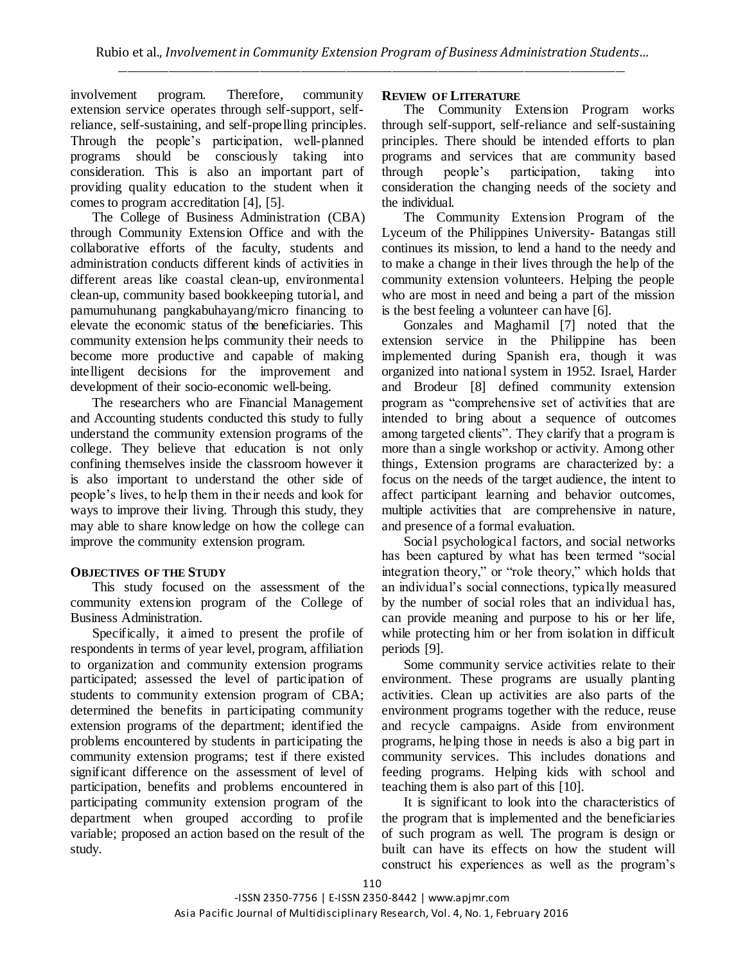involvement program. Therefore, community extension service operates through self-support, selfreliance, self-sustaining, and self-propelling principles. Through the people"s participation, well-planned programs should be consciously taking into consideration. This is also an important part of providing quality education to the student when it comes to program accreditation [4], [5].

The College of Business Administration (CBA) through Community Extension Office and with the collaborative efforts of the faculty, students and administration conducts different kinds of activities in different areas like coastal clean-up, environmental clean-up, community based bookkeeping tutorial, and pamumuhunang pangkabuhayang/micro financing to elevate the economic status of the beneficiaries. This community extension helps community their needs to become more productive and capable of making intelligent decisions for the improvement and development of their socio-economic well-being.

The researchers who are Financial Management and Accounting students conducted this study to fully understand the community extension programs of the college. They believe that education is not only confining themselves inside the classroom however it is also important to understand the other side of people"s lives, to help them in their needs and look for ways to improve their living. Through this study, they may able to share knowledge on how the college can improve the community extension program.

# **OBJECTIVES OF THE STUDY**

This study focused on the assessment of the community extension program of the College of Business Administration.

Specifically, it aimed to present the profile of respondents in terms of year level, program, affiliation to organization and community extension programs participated; assessed the level of participation of students to community extension program of CBA; determined the benefits in participating community extension programs of the department; identified the problems encountered by students in participating the community extension programs; test if there existed significant difference on the assessment of level of participation, benefits and problems encountered in participating community extension program of the department when grouped according to profile variable; proposed an action based on the result of the study.

## **REVIEW OF LITERATURE**

The Community Extension Program works through self-support, self-reliance and self-sustaining principles. There should be intended efforts to plan programs and services that are community based through people"s participation, taking into consideration the changing needs of the society and the individual.

The Community Extension Program of the Lyceum of the Philippines University- Batangas still continues its mission, to lend a hand to the needy and to make a change in their lives through the help of the community extension volunteers. Helping the people who are most in need and being a part of the mission is the best feeling a volunteer can have [6].

Gonzales and Maghamil [7] noted that the extension service in the Philippine has been implemented during Spanish era, though it was organized into national system in 1952. Israel, Harder and Brodeur [8] defined community extension program as "comprehensive set of activities that are intended to bring about a sequence of outcomes among targeted clients". They clarify that a program is more than a single workshop or activity. Among other things, Extension programs are characterized by: a focus on the needs of the target audience, the intent to affect participant learning and behavior outcomes, multiple activities that are comprehensive in nature, and presence of a formal evaluation.

Social psychological factors, and social networks has been captured by what has been termed "social integration theory," or "role theory," which holds that an individual"s social connections, typically measured by the number of social roles that an individual has, can provide meaning and purpose to his or her life, while protecting him or her from isolation in difficult periods [9].

Some community service activities relate to their environment. These programs are usually planting activities. Clean up activities are also parts of the environment programs together with the reduce, reuse and recycle campaigns. Aside from environment programs, helping those in needs is also a big part in community services. This includes donations and feeding programs. Helping kids with school and teaching them is also part of this [10].

It is significant to look into the characteristics of the program that is implemented and the beneficiaries of such program as well. The program is design or built can have its effects on how the student will construct his experiences as well as the program"s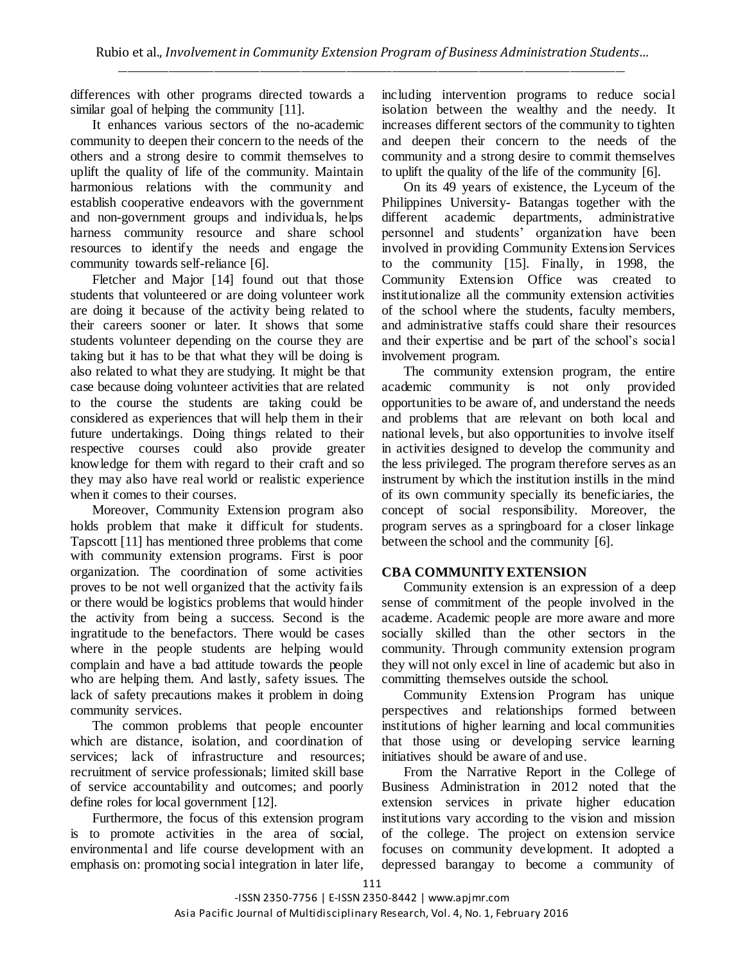differences with other programs directed towards a similar goal of helping the community [11].

It enhances various sectors of the no-academic community to deepen their concern to the needs of the others and a strong desire to commit themselves to uplift the quality of life of the community. Maintain harmonious relations with the community and establish cooperative endeavors with the government and non-government groups and individuals, helps harness community resource and share school resources to identify the needs and engage the community towards self-reliance [6].

Fletcher and Major [14] found out that those students that volunteered or are doing volunteer work are doing it because of the activity being related to their careers sooner or later. It shows that some students volunteer depending on the course they are taking but it has to be that what they will be doing is also related to what they are studying. It might be that case because doing volunteer activities that are related to the course the students are taking could be considered as experiences that will help them in their future undertakings. Doing things related to their respective courses could also provide greater knowledge for them with regard to their craft and so they may also have real world or realistic experience when it comes to their courses.

Moreover, Community Extension program also holds problem that make it difficult for students. Tapscott [11] has mentioned three problems that come with community extension programs. First is poor organization. The coordination of some activities proves to be not well organized that the activity fails or there would be logistics problems that would hinder the activity from being a success. Second is the ingratitude to the benefactors. There would be cases where in the people students are helping would complain and have a bad attitude towards the people who are helping them. And lastly, safety issues. The lack of safety precautions makes it problem in doing community services.

The common problems that people encounter which are distance, isolation, and coordination of services; lack of infrastructure and resources; recruitment of service professionals; limited skill base of service accountability and outcomes; and poorly define roles for local government [12].

Furthermore, the focus of this extension program is to promote activities in the area of social, environmental and life course development with an emphasis on: promoting social integration in later life, including intervention programs to reduce social isolation between the wealthy and the needy. It increases different sectors of the community to tighten and deepen their concern to the needs of the community and a strong desire to commit themselves to uplift the quality of the life of the community [6].

On its 49 years of existence, the Lyceum of the Philippines University- Batangas together with the different academic departments, administrative personnel and students" organization have been involved in providing Community Extension Services to the community [15]. Finally, in 1998, the Community Extension Office was created to institutionalize all the community extension activities of the school where the students, faculty members, and administrative staffs could share their resources and their expertise and be part of the school"s social involvement program.

The community extension program, the entire academic community is not only provided opportunities to be aware of, and understand the needs and problems that are relevant on both local and national levels, but also opportunities to involve itself in activities designed to develop the community and the less privileged. The program therefore serves as an instrument by which the institution instills in the mind of its own community specially its beneficiaries, the concept of social responsibility. Moreover, the program serves as a springboard for a closer linkage between the school and the community [6].

## **CBA COMMUNITY EXTENSION**

Community extension is an expression of a deep sense of commitment of the people involved in the academe. Academic people are more aware and more socially skilled than the other sectors in the community. Through community extension program they will not only excel in line of academic but also in committing themselves outside the school.

Community Extension Program has unique perspectives and relationships formed between institutions of higher learning and local communities that those using or developing service learning initiatives should be aware of and use.

From the Narrative Report in the College of Business Administration in 2012 noted that the extension services in private higher education institutions vary according to the vision and mission of the college. The project on extension service focuses on community development. It adopted a depressed barangay to become a community of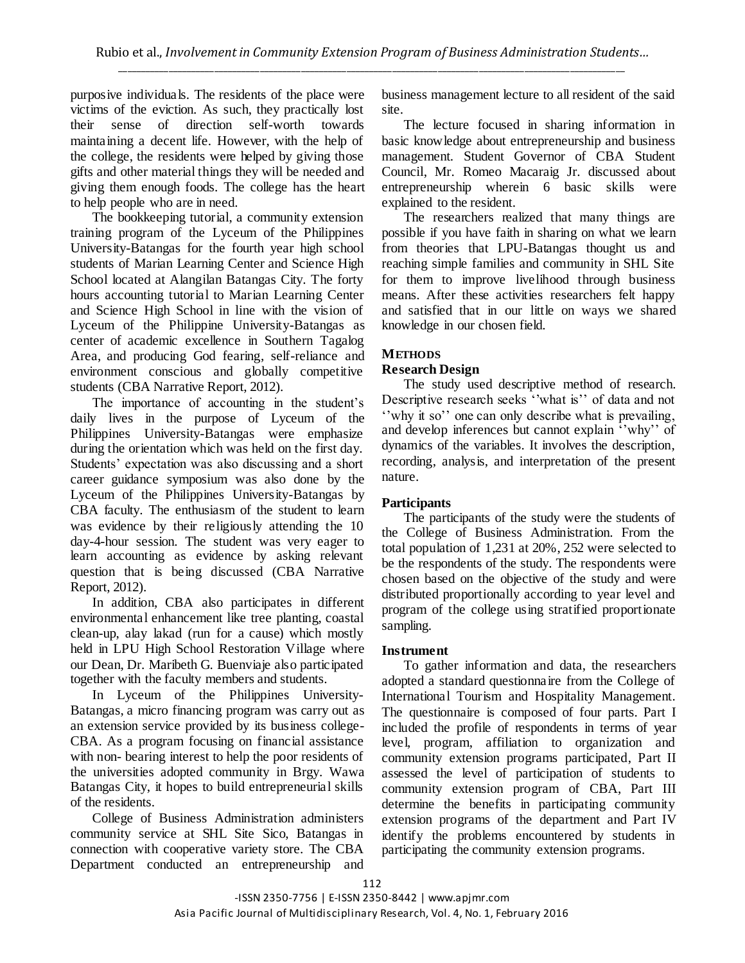purposive individuals. The residents of the place were victims of the eviction. As such, they practically lost their sense of direction self-worth towards maintaining a decent life. However, with the help of the college, the residents were helped by giving those gifts and other material things they will be needed and giving them enough foods. The college has the heart to help people who are in need.

The bookkeeping tutorial, a community extension training program of the Lyceum of the Philippines University-Batangas for the fourth year high school students of Marian Learning Center and Science High School located at Alangilan Batangas City. The forty hours accounting tutorial to Marian Learning Center and Science High School in line with the vision of Lyceum of the Philippine University-Batangas as center of academic excellence in Southern Tagalog Area, and producing God fearing, self-reliance and environment conscious and globally competitive students (CBA Narrative Report, 2012).

The importance of accounting in the student's daily lives in the purpose of Lyceum of the Philippines University-Batangas were emphasize during the orientation which was held on the first day. Students" expectation was also discussing and a short career guidance symposium was also done by the Lyceum of the Philippines University-Batangas by CBA faculty. The enthusiasm of the student to learn was evidence by their religiously attending the 10 day-4-hour session. The student was very eager to learn accounting as evidence by asking relevant question that is being discussed (CBA Narrative Report, 2012).

In addition, CBA also participates in different environmental enhancement like tree planting, coastal clean-up, alay lakad (run for a cause) which mostly held in LPU High School Restoration Village where our Dean, Dr. Maribeth G. Buenviaje also participated together with the faculty members and students.

In Lyceum of the Philippines University-Batangas, a micro financing program was carry out as an extension service provided by its business college-CBA. As a program focusing on financial assistance with non- bearing interest to help the poor residents of the universities adopted community in Brgy. Wawa Batangas City, it hopes to build entrepreneurial skills of the residents.

College of Business Administration administers community service at SHL Site Sico, Batangas in connection with cooperative variety store. The CBA Department conducted an entrepreneurship and

business management lecture to all resident of the said site.

The lecture focused in sharing information in basic knowledge about entrepreneurship and business management. Student Governor of CBA Student Council, Mr. Romeo Macaraig Jr. discussed about entrepreneurship wherein 6 basic skills were explained to the resident.

The researchers realized that many things are possible if you have faith in sharing on what we learn from theories that LPU-Batangas thought us and reaching simple families and community in SHL Site for them to improve livelihood through business means. After these activities researchers felt happy and satisfied that in our little on ways we shared knowledge in our chosen field.

## **METHODS**

#### **Research Design**

The study used descriptive method of research. Descriptive research seeks "what is" of data and not "why it so" one can only describe what is prevailing, and develop inferences but cannot explain "why" of dynamics of the variables. It involves the description, recording, analysis, and interpretation of the present nature.

#### **Participants**

The participants of the study were the students of the College of Business Administration. From the total population of 1,231 at 20%, 252 were selected to be the respondents of the study. The respondents were chosen based on the objective of the study and were distributed proportionally according to year level and program of the college using stratified proportionate sampling.

#### **Instrument**

To gather information and data, the researchers adopted a standard questionnaire from the College of International Tourism and Hospitality Management. The questionnaire is composed of four parts. Part I included the profile of respondents in terms of year level, program, affiliation to organization and community extension programs participated, Part II assessed the level of participation of students to community extension program of CBA, Part III determine the benefits in participating community extension programs of the department and Part IV identify the problems encountered by students in participating the community extension programs.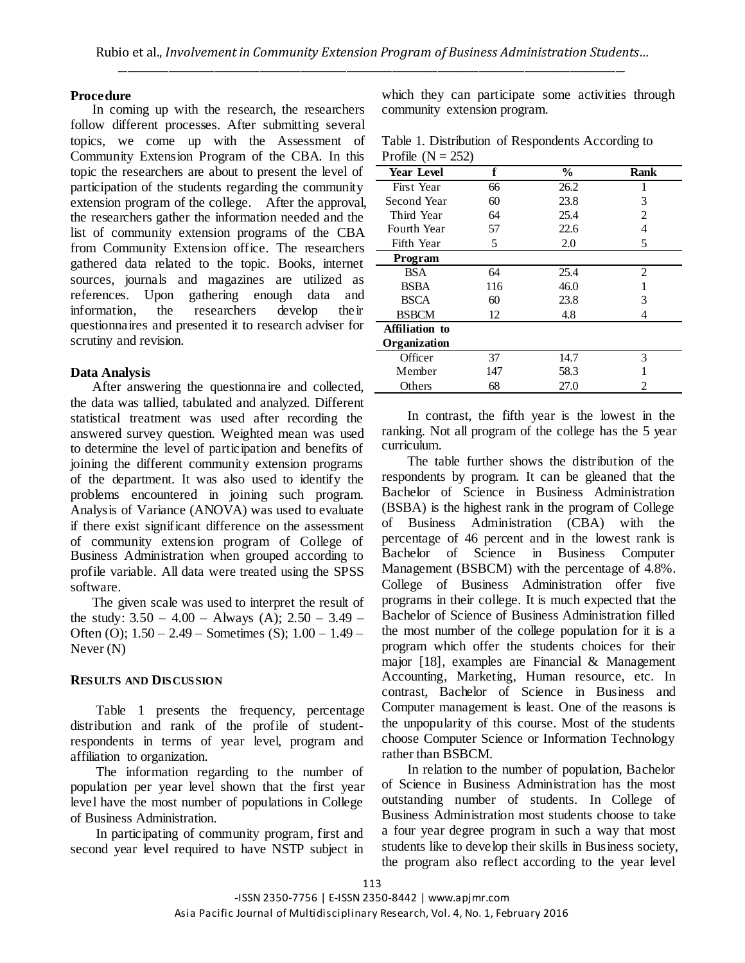#### **Procedure**

In coming up with the research, the researchers follow different processes. After submitting several topics, we come up with the Assessment of Community Extension Program of the CBA. In this topic the researchers are about to present the level of participation of the students regarding the community extension program of the college. After the approval, the researchers gather the information needed and the list of community extension programs of the CBA from Community Extension office. The researchers gathered data related to the topic. Books, internet sources, journals and magazines are utilized as references. Upon gathering enough data and information, the researchers develop their questionnaires and presented it to research adviser for scrutiny and revision.

#### **Data Analysis**

After answering the questionnaire and collected, the data was tallied, tabulated and analyzed. Different statistical treatment was used after recording the answered survey question. Weighted mean was used to determine the level of participation and benefits of joining the different community extension programs of the department. It was also used to identify the problems encountered in joining such program. Analysis of Variance (ANOVA) was used to evaluate if there exist significant difference on the assessment of community extension program of College of Business Administration when grouped according to profile variable. All data were treated using the SPSS software.

The given scale was used to interpret the result of the study:  $3.50 - 4.00 -$  Always (A);  $2.50 - 3.49 -$ Often (O);  $1.50 - 2.49$  – Sometimes (S);  $1.00 - 1.49$  – Never (N)

#### **RESULTS AND DISCUSSION**

Table 1 presents the frequency, percentage distribution and rank of the profile of studentrespondents in terms of year level, program and affiliation to organization.

The information regarding to the number of population per year level shown that the first year level have the most number of populations in College of Business Administration.

In participating of community program, first and second year level required to have NSTP subject in

which they can participate some activities through community extension program.

|                     | Table 1. Distribution of Respondents According to |
|---------------------|---------------------------------------------------|
| Profile $(N = 252)$ |                                                   |

| <b>Year Level</b> | f   | $\%$ | Rank                        |
|-------------------|-----|------|-----------------------------|
| First Year        | 66  | 26.2 |                             |
| Second Year       | 60  | 23.8 | 3                           |
| Third Year        | 64  | 25.4 | $\mathcal{D}_{\mathcal{L}}$ |
| Fourth Year       | 57  | 22.6 | 4                           |
| Fifth Year        | 5   | 2.0  | 5                           |
| Program           |     |      |                             |
| <b>BSA</b>        | 64  | 25.4 | 2                           |
| <b>BSBA</b>       | 116 | 46.0 |                             |
| <b>BSCA</b>       | 60  | 23.8 | 3                           |
| <b>BSBCM</b>      | 12  | 4.8  |                             |
| Affiliation to    |     |      |                             |
| Organization      |     |      |                             |
| Officer           | 37  | 14.7 | 3                           |
| Member            | 147 | 58.3 |                             |
| Others            | 68  | 27.0 | 2                           |

In contrast, the fifth year is the lowest in the ranking. Not all program of the college has the 5 year curriculum.

The table further shows the distribution of the respondents by program. It can be gleaned that the Bachelor of Science in Business Administration (BSBA) is the highest rank in the program of College of Business Administration (CBA) with the percentage of 46 percent and in the lowest rank is Bachelor of Science in Business Computer Management (BSBCM) with the percentage of 4.8%. College of Business Administration offer five programs in their college. It is much expected that the Bachelor of Science of Business Administration filled the most number of the college population for it is a program which offer the students choices for their major [18], examples are Financial & Management Accounting, Marketing, Human resource, etc. In contrast, Bachelor of Science in Business and Computer management is least. One of the reasons is the unpopularity of this course. Most of the students choose Computer Science or Information Technology rather than BSBCM.

In relation to the number of population, Bachelor of Science in Business Administration has the most outstanding number of students. In College of Business Administration most students choose to take a four year degree program in such a way that most students like to develop their skills in Business society, the program also reflect according to the year level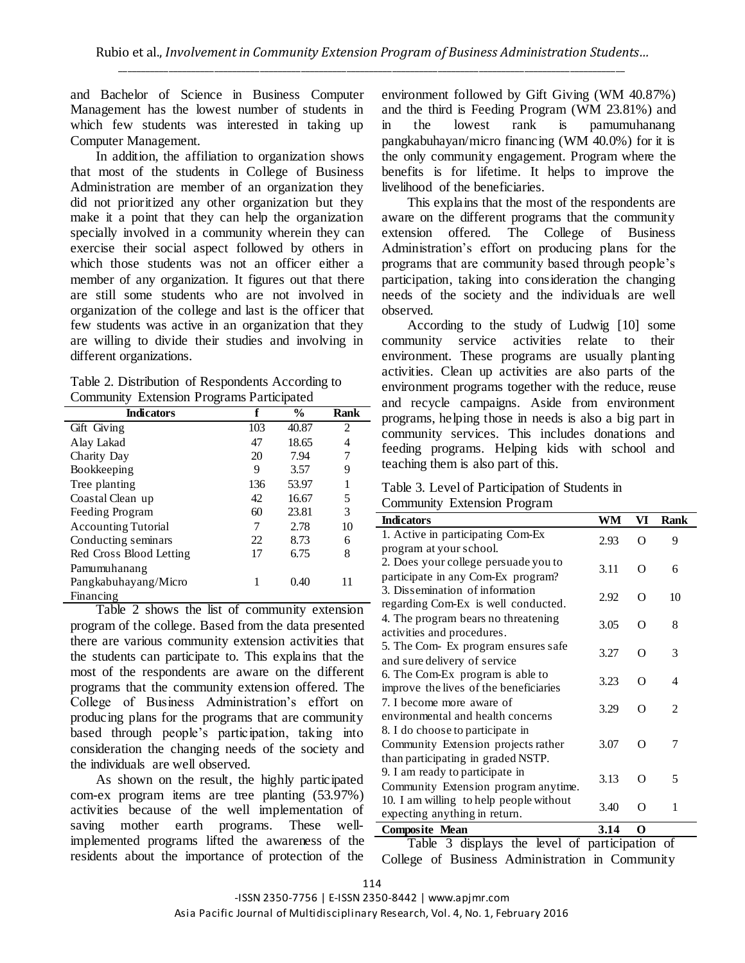and Bachelor of Science in Business Computer Management has the lowest number of students in which few students was interested in taking up Computer Management.

In addition, the affiliation to organization shows that most of the students in College of Business Administration are member of an organization they did not prioritized any other organization but they make it a point that they can help the organization specially involved in a community wherein they can exercise their social aspect followed by others in which those students was not an officer either a member of any organization. It figures out that there are still some students who are not involved in organization of the college and last is the officer that few students was active in an organization that they are willing to divide their studies and involving in different organizations.

|  | Table 2. Distribution of Respondents According to |  |
|--|---------------------------------------------------|--|
|  | Community Extension Programs Participated         |  |

| <b>Indicators</b>          | f   | $\frac{6}{9}$ | Rank |
|----------------------------|-----|---------------|------|
| Gift Giving                | 103 | 40.87         | 2    |
| Alay Lakad                 | 47  | 18.65         | 4    |
| Charity Day                | 20  | 7.94          | 7    |
| Bookkeeping                | 9   | 3.57          | 9    |
| Tree planting              | 136 | 53.97         |      |
| Coastal Clean up           | 42  | 16.67         | 5    |
| Feeding Program            | 60  | 23.81         | 3    |
| <b>Accounting Tutorial</b> | 7   | 2.78          | 10   |
| Conducting seminars        | 22  | 8.73          | 6    |
| Red Cross Blood Letting    | 17  | 6.75          | 8    |
| Pamumuhanang               |     |               |      |
| Pangkabuhayang/Micro       |     | 0.40          | 11   |
| Financing                  |     |               |      |

Table 2 shows the list of community extension program of the college. Based from the data presented there are various community extension activities that the students can participate to. This explains that the most of the respondents are aware on the different programs that the community extension offered. The College of Business Administration"s effort on producing plans for the programs that are community based through people"s participation, taking into consideration the changing needs of the society and the individuals are well observed.

As shown on the result, the highly participated com-ex program items are tree planting (53.97%) activities because of the well implementation of saving mother earth programs. These wellimplemented programs lifted the awareness of the residents about the importance of protection of the

environment followed by Gift Giving (WM 40.87%) and the third is Feeding Program (WM 23.81%) and in the lowest rank is pamumuhanang pangkabuhayan/micro financing (WM 40.0%) for it is the only community engagement. Program where the benefits is for lifetime. It helps to improve the livelihood of the beneficiaries.

This explains that the most of the respondents are aware on the different programs that the community extension offered. The College of Business Administration"s effort on producing plans for the programs that are community based through people"s participation, taking into consideration the changing needs of the society and the individuals are well observed.

According to the study of Ludwig [10] some community service activities relate to their environment. These programs are usually planting activities. Clean up activities are also parts of the environment programs together with the reduce, reuse and recycle campaigns. Aside from environment programs, helping those in needs is also a big part in community services. This includes donations and feeding programs. Helping kids with school and teaching them is also part of this.

## Table 3. Level of Participation of Students in

Community Extension Program

| <b>Indicators</b>                       | WM   | VI       | <b>Rank</b>    |
|-----------------------------------------|------|----------|----------------|
| 1. Active in participating Com-Ex       | 2.93 | $\Omega$ | 9              |
| program at your school.                 |      |          |                |
| 2. Does your college persuade you to    | 3.11 | $\Omega$ | 6              |
| participate in any Com-Ex program?      |      |          |                |
| 3. Dissemination of information         | 2.92 | $\Omega$ | 10             |
| regarding Com-Ex is well conducted.     |      |          |                |
| 4. The program bears no threatening     | 3.05 | $\Omega$ | 8              |
| activities and procedures.              |      |          |                |
| 5. The Com- Ex program ensures safe     | 3.27 | $\Omega$ | 3              |
| and sure delivery of service            |      |          |                |
| 6. The Com-Ex program is able to        | 3.23 | $\Omega$ | 4              |
| improve the lives of the beneficiaries  |      |          |                |
| 7. I become more aware of               | 3.29 | ∩        | $\mathfrak{D}$ |
| environmental and health concerns       |      |          |                |
| 8. I do choose to participate in        |      |          |                |
| Community Extension projects rather     | 3.07 | $\Omega$ | 7              |
| than participating in graded NSTP.      |      |          |                |
| 9. I am ready to participate in         | 3.13 | $\Omega$ | 5              |
| Community Extension program anytime.    |      |          |                |
| 10. I am willing to help people without | 3.40 | ∩        | 1              |
| expecting anything in return.           |      |          |                |
| <b>Composite Mean</b>                   | 3.14 | O        |                |

Table 3 displays the level of participation of College of Business Administration in Community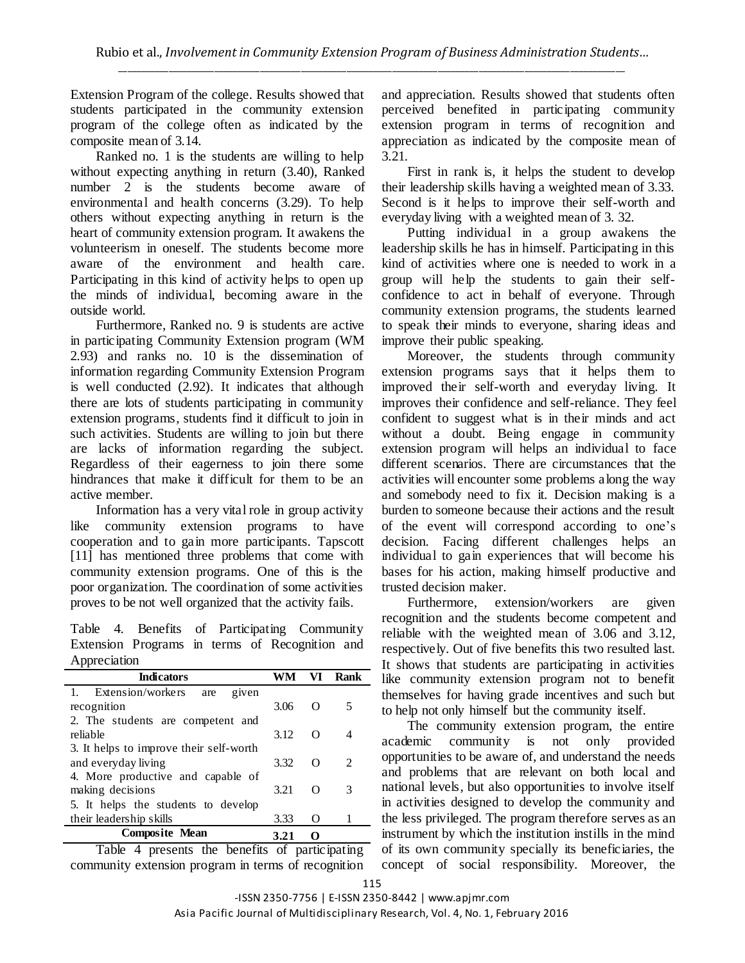Extension Program of the college. Results showed that students participated in the community extension program of the college often as indicated by the composite mean of 3.14.

Ranked no. 1 is the students are willing to help without expecting anything in return (3.40), Ranked number 2 is the students become aware of environmental and health concerns (3.29). To help others without expecting anything in return is the heart of community extension program. It awakens the volunteerism in oneself. The students become more aware of the environment and health care. Participating in this kind of activity helps to open up the minds of individual, becoming aware in the outside world.

Furthermore, Ranked no. 9 is students are active in participating Community Extension program (WM 2.93) and ranks no. 10 is the dissemination of information regarding Community Extension Program is well conducted (2.92). It indicates that although there are lots of students participating in community extension programs, students find it difficult to join in such activities. Students are willing to join but there are lacks of information regarding the subject. Regardless of their eagerness to join there some hindrances that make it difficult for them to be an active member.

Information has a very vital role in group activity like community extension programs to have cooperation and to gain more participants. Tapscott [11] has mentioned three problems that come with community extension programs. One of this is the poor organization. The coordination of some activities proves to be not well organized that the activity fails.

Table 4. Benefits of Participating Community Extension Programs in terms of Recognition and Appreciation

| <b>Indicators</b>                                |      | VI                | Rank           |
|--------------------------------------------------|------|-------------------|----------------|
| Extension/workers<br>given<br>are                |      |                   |                |
| recognition                                      | 3.06 | $\left($          | 5              |
| 2. The students are competent and                |      |                   |                |
| reliable                                         | 3.12 | $\left($          |                |
| 3. It helps to improve their self-worth          |      |                   |                |
| and everyday living                              | 3.32 | O                 | $\mathfrak{D}$ |
| 4. More productive and capable of                |      |                   |                |
| making decisions                                 | 3.21 | Ω                 | 3              |
| 5. It helps the students to develop              |      |                   |                |
| their leadership skills                          | 3.33 | $\mathbf{\Omega}$ |                |
| <b>Composite Mean</b><br>$\sim$<br>. .<br>$\sim$ | 3.21 |                   |                |

Table 4 presents the benefits of participating community extension program in terms of recognition

and appreciation. Results showed that students often perceived benefited in participating community extension program in terms of recognition and appreciation as indicated by the composite mean of 3.21.

First in rank is, it helps the student to develop their leadership skills having a weighted mean of 3.33. Second is it helps to improve their self-worth and everyday living with a weighted mean of 3. 32.

Putting individual in a group awakens the leadership skills he has in himself. Participating in this kind of activities where one is needed to work in a group will help the students to gain their selfconfidence to act in behalf of everyone. Through community extension programs, the students learned to speak their minds to everyone, sharing ideas and improve their public speaking.

Moreover, the students through community extension programs says that it helps them to improved their self-worth and everyday living. It improves their confidence and self-reliance. They feel confident to suggest what is in their minds and act without a doubt. Being engage in community extension program will helps an individual to face different scenarios. There are circumstances that the activities will encounter some problems along the way and somebody need to fix it. Decision making is a burden to someone because their actions and the result of the event will correspond according to one"s decision. Facing different challenges helps an individual to gain experiences that will become his bases for his action, making himself productive and trusted decision maker.

Furthermore, extension/workers are given recognition and the students become competent and reliable with the weighted mean of 3.06 and 3.12, respectively. Out of five benefits this two resulted last. It shows that students are participating in activities like community extension program not to benefit themselves for having grade incentives and such but to help not only himself but the community itself.

The community extension program, the entire academic community is not only provided opportunities to be aware of, and understand the needs and problems that are relevant on both local and national levels, but also opportunities to involve itself in activities designed to develop the community and the less privileged. The program therefore serves as an instrument by which the institution instills in the mind of its own community specially its beneficiaries, the concept of social responsibility. Moreover, the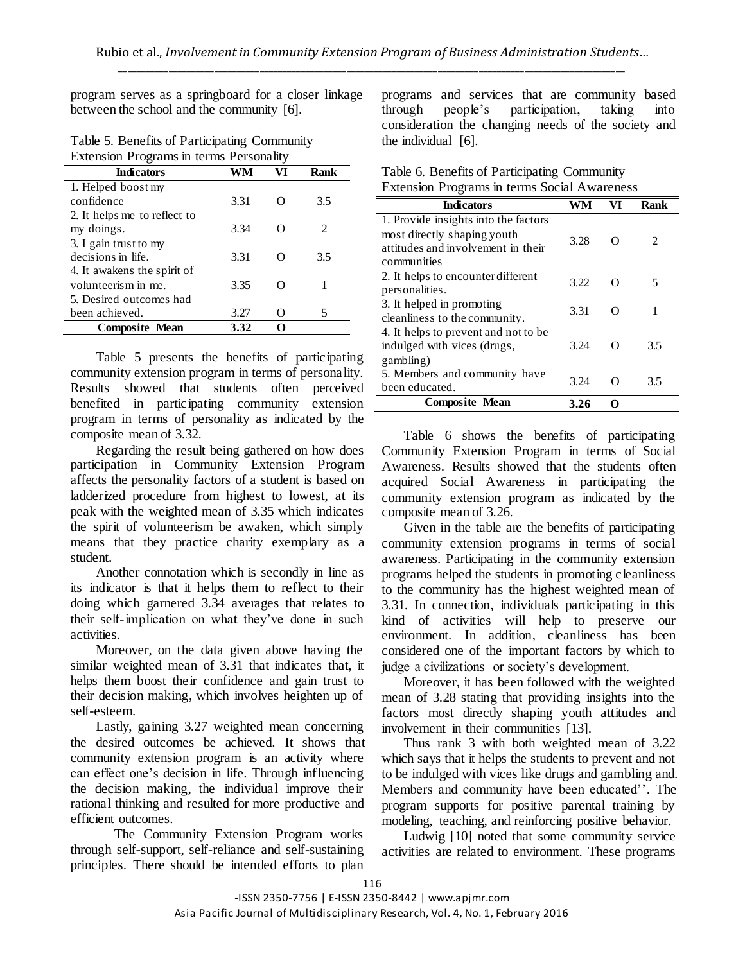program serves as a springboard for a closer linkage between the school and the community [6].

| Table 5. Benefits of Participating Community |
|----------------------------------------------|
| Extension Programs in terms Personality      |

| <b>Indicators</b>            | WM   |   | Rank                        |
|------------------------------|------|---|-----------------------------|
| 1. Helped boost my           |      |   |                             |
| confidence                   | 3.31 |   | 3.5                         |
| 2. It helps me to reflect to |      |   |                             |
| my doings.                   | 3.34 |   | $\mathcal{D}_{\mathcal{L}}$ |
| 3. I gain trust to my        |      |   |                             |
| decisions in life.           | 3.31 |   | 3.5                         |
| 4. It awakens the spirit of  |      |   |                             |
| volunteerism in me.          | 3.35 |   |                             |
| 5. Desired outcomes had      |      |   |                             |
| been achieved.               | 3.27 | 0 |                             |
| <b>Composite Mean</b>        | 3.32 | 0 |                             |

Table 5 presents the benefits of participating community extension program in terms of personality. Results showed that students often perceived benefited in participating community extension program in terms of personality as indicated by the composite mean of 3.32.

Regarding the result being gathered on how does participation in Community Extension Program affects the personality factors of a student is based on ladderized procedure from highest to lowest, at its peak with the weighted mean of 3.35 which indicates the spirit of volunteerism be awaken, which simply means that they practice charity exemplary as a student.

Another connotation which is secondly in line as its indicator is that it helps them to reflect to their doing which garnered 3.34 averages that relates to their self-implication on what they"ve done in such activities.

Moreover, on the data given above having the similar weighted mean of 3.31 that indicates that, it helps them boost their confidence and gain trust to their decision making, which involves heighten up of self-esteem.

Lastly, gaining 3.27 weighted mean concerning the desired outcomes be achieved. It shows that community extension program is an activity where can effect one"s decision in life. Through influencing the decision making, the individual improve their rational thinking and resulted for more productive and efficient outcomes.

The Community Extension Program works through self-support, self-reliance and self-sustaining principles. There should be intended efforts to plan programs and services that are community based<br>through people's participation, taking into through people"s participation, taking into consideration the changing needs of the society and the individual [6].

| Table 6. Benefits of Participating Community        |  |
|-----------------------------------------------------|--|
| <b>Extension Programs in terms Social Awareness</b> |  |

| <b>Indicators</b>                                                 | WM   | VI               | Rank          |
|-------------------------------------------------------------------|------|------------------|---------------|
| 1. Provide insights into the factors                              |      |                  |               |
| most directly shaping youth<br>attitudes and involvement in their | 3.28 | $\Omega$         | $\mathcal{L}$ |
| communities                                                       |      |                  |               |
| 2. It helps to encounter different                                | 3.22 |                  | 5             |
| personalities.                                                    |      |                  |               |
| 3. It helped in promoting                                         | 3.31 | $\left( \right)$ |               |
| cleanliness to the community.                                     |      |                  |               |
| 4. It helps to prevent and not to be                              |      |                  |               |
| indulged with vices (drugs,                                       | 3.24 | O                | 3.5           |
| gambling)                                                         |      |                  |               |
| 5. Members and community have                                     | 3.24 | റ                | 3.5           |
| been educated.                                                    |      |                  |               |
| <b>Composite Mean</b>                                             | 3.26 |                  |               |

Table 6 shows the benefits of participating Community Extension Program in terms of Social Awareness. Results showed that the students often acquired Social Awareness in participating the community extension program as indicated by the composite mean of 3.26.

Given in the table are the benefits of participating community extension programs in terms of social awareness. Participating in the community extension programs helped the students in promoting cleanliness to the community has the highest weighted mean of 3.31. In connection, individuals participating in this kind of activities will help to preserve our environment. In addition, cleanliness has been considered one of the important factors by which to judge a civilizations or society"s development.

Moreover, it has been followed with the weighted mean of 3.28 stating that providing insights into the factors most directly shaping youth attitudes and involvement in their communities [13].

Thus rank 3 with both weighted mean of 3.22 which says that it helps the students to prevent and not to be indulged with vices like drugs and gambling and. Members and community have been educated". The program supports for positive parental training by modeling, teaching, and reinforcing positive behavior.

Ludwig [10] noted that some community service activities are related to environment. These programs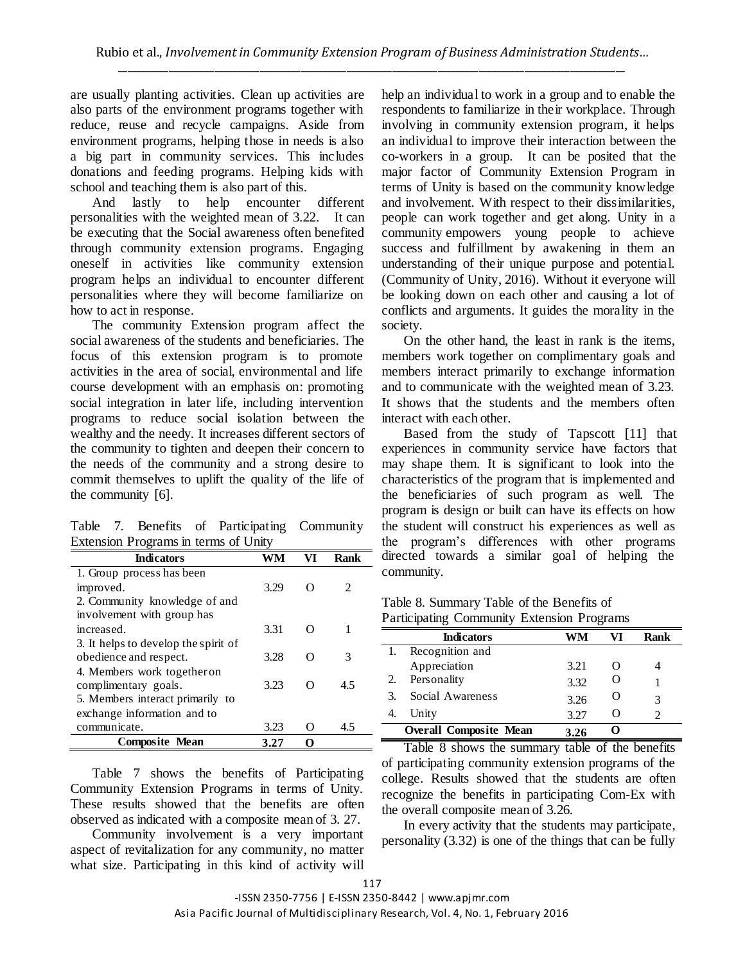are usually planting activities. Clean up activities are also parts of the environment programs together with reduce, reuse and recycle campaigns. Aside from environment programs, helping those in needs is also a big part in community services. This includes donations and feeding programs. Helping kids with school and teaching them is also part of this.

And lastly to help encounter different personalities with the weighted mean of 3.22. It can be executing that the Social awareness often benefited through community extension programs. Engaging oneself in activities like community extension program helps an individual to encounter different personalities where they will become familiarize on how to act in response.

The community Extension program affect the social awareness of the students and beneficiaries. The focus of this extension program is to promote activities in the area of social, environmental and life course development with an emphasis on: promoting social integration in later life, including intervention programs to reduce social isolation between the wealthy and the needy. It increases different sectors of the community to tighten and deepen their concern to the needs of the community and a strong desire to commit themselves to uplift the quality of the life of the community [6].

Table 7. Benefits of Participating Community Extension Programs in terms of Unity

| <b>Indicators</b>                    |      | VI | Rank          |
|--------------------------------------|------|----|---------------|
| 1. Group process has been            |      |    |               |
| improved.                            | 3.29 |    | $\mathcal{L}$ |
| 2. Community knowledge of and        |      |    |               |
| involvement with group has           |      |    |               |
| increased.                           | 3.31 |    |               |
| 3. It helps to develop the spirit of |      |    |               |
| obedience and respect.               | 3.28 |    | 3             |
| 4. Members work together on          |      |    |               |
| complimentary goals.                 | 3.23 |    | 4.5           |
| 5. Members interact primarily to     |      |    |               |
| exchange information and to          |      |    |               |
| communicate.                         | 3.23 |    | 4.5           |
| <b>Composite Mean</b>                | 3.27 |    |               |

Table 7 shows the benefits of Participating Community Extension Programs in terms of Unity. These results showed that the benefits are often observed as indicated with a composite mean of 3. 27.

Community involvement is a very important aspect of revitalization for any community, no matter what size. Participating in this kind of activity will help an individual to work in a group and to enable the respondents to familiarize in their workplace. Through involving in community extension program, it helps an individual to improve their interaction between the co-workers in a group. It can be posited that the major factor of Community Extension Program in terms of Unity is based on the community knowledge and involvement. With respect to their dissimilarities, people can work together and get along. Unity in a community empowers young people to achieve success and fulfillment by awakening in them an understanding of their unique purpose and potential. (Community of Unity, 2016). Without it everyone will be looking down on each other and causing a lot of conflicts and arguments. It guides the morality in the society.

On the other hand, the least in rank is the items, members work together on complimentary goals and members interact primarily to exchange information and to communicate with the weighted mean of 3.23. It shows that the students and the members often interact with each other.

Based from the study of Tapscott [11] that experiences in community service have factors that may shape them. It is significant to look into the characteristics of the program that is implemented and the beneficiaries of such program as well. The program is design or built can have its effects on how the student will construct his experiences as well as the program"s differences with other programs directed towards a similar goal of helping the community.

| Table 8. Summary Table of the Benefits of         |  |
|---------------------------------------------------|--|
| <b>Participating Community Extension Programs</b> |  |

|    | $\ldots$                      | $=$  |                  |      |
|----|-------------------------------|------|------------------|------|
|    | <b>Indicators</b>             | WM   | VI               | Rank |
|    | Recognition and               |      |                  |      |
|    | Appreciation                  | 3.21 |                  |      |
| 2. | Personality                   | 3.32 | $\left( \right)$ |      |
| 3. | Social Awareness              | 3.26 | O                |      |
|    | Unity                         | 3.27 | $\left( \right)$ |      |
|    | <b>Overall Composite Mean</b> | 3.26 |                  |      |

Table 8 shows the summary table of the benefits of participating community extension programs of the college. Results showed that the students are often recognize the benefits in participating Com-Ex with the overall composite mean of 3.26.

In every activity that the students may participate, personality (3.32) is one of the things that can be fully

-ISSN 2350-7756 | E-ISSN 2350-8442 | www.apjmr.com

Asia Pacific Journal of Multidisciplinary Research, Vol. 4, No. 1, February 2016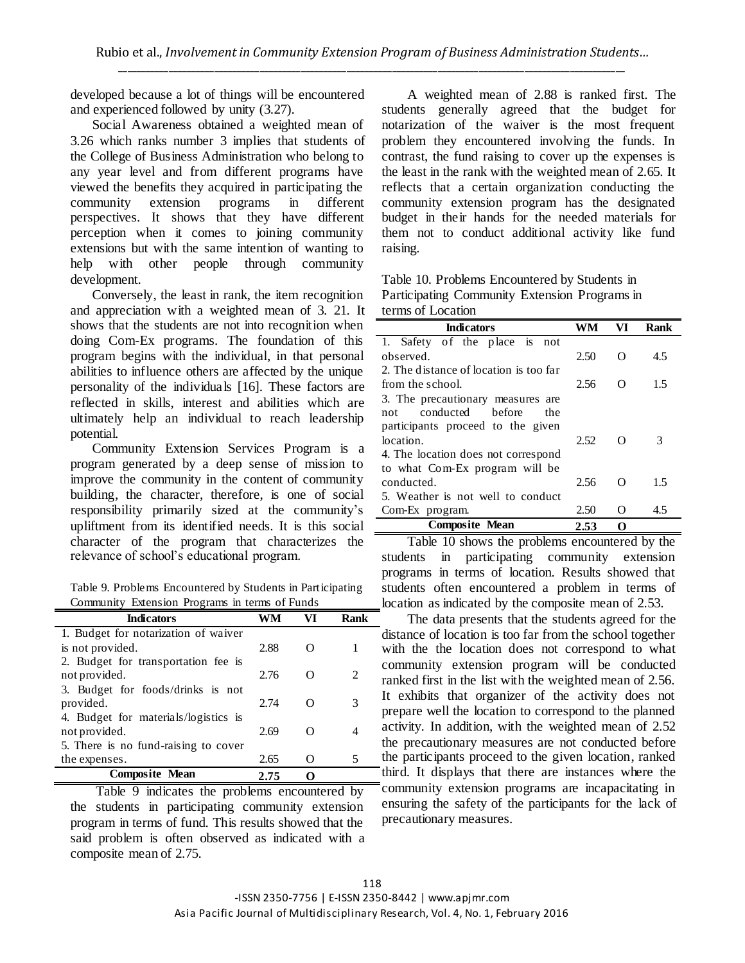developed because a lot of things will be encountered and experienced followed by unity (3.27).

Social Awareness obtained a weighted mean of 3.26 which ranks number 3 implies that students of the College of Business Administration who belong to any year level and from different programs have viewed the benefits they acquired in participating the community extension programs in different perspectives. It shows that they have different perception when it comes to joining community extensions but with the same intention of wanting to help with other people through community development.

Conversely, the least in rank, the item recognition and appreciation with a weighted mean of 3. 21. It shows that the students are not into recognition when doing Com-Ex programs. The foundation of this program begins with the individual, in that personal abilities to influence others are affected by the unique personality of the individuals [16]. These factors are reflected in skills, interest and abilities which are ultimately help an individual to reach leadership potential.

Community Extension Services Program is a program generated by a deep sense of mission to improve the community in the content of community building, the character, therefore, is one of social responsibility primarily sized at the community"s upliftment from its identified needs. It is this social character of the program that characterizes the relevance of school"s educational program.

Table 9. Problems Encountered by Students in Participating Community Extension Programs in terms of Funds

| <b>Indicators</b>                    | WM   | VI | Rank |
|--------------------------------------|------|----|------|
| 1. Budget for notarization of waiver |      |    |      |
| is not provided.                     | 2.88 |    |      |
| 2. Budget for transportation fee is  |      |    |      |
| not provided.                        | 2.76 |    | 2    |
| 3. Budget for foods/drinks is not    |      |    |      |
| provided.                            | 2.74 |    | 3    |
| 4. Budget for materials/logistics is |      |    |      |
| not provided.                        | 2.69 |    | 4    |
| 5. There is no fund-raising to cover |      |    |      |
| the expenses.                        | 2.65 |    | 5    |
| <b>Composite Mean</b>                | 2.75 |    |      |

Table 9 indicates the problems encountered by the students in participating community extension program in terms of fund. This results showed that the said problem is often observed as indicated with a composite mean of 2.75.

A weighted mean of 2.88 is ranked first. The students generally agreed that the budget for notarization of the waiver is the most frequent problem they encountered involving the funds. In contrast, the fund raising to cover up the expenses is the least in the rank with the weighted mean of 2.65. It reflects that a certain organization conducting the community extension program has the designated budget in their hands for the needed materials for them not to conduct additional activity like fund raising.

| Table 10. Problems Encountered by Students in |
|-----------------------------------------------|
| Participating Community Extension Programs in |
| terms of Location                             |

| <b>Indicators</b>                      | WM    | VI                | Rank |
|----------------------------------------|-------|-------------------|------|
| 1. Safety of the place is not          |       |                   |      |
| observed.                              | 2.50  | O                 | 4.5  |
| 2. The distance of location is too far |       |                   |      |
| from the school.                       | 2.56  | O                 | 1.5  |
| 3. The precautionary measures are      |       |                   |      |
| conducted<br>hefore<br>the.<br>not     |       |                   |      |
| participants proceed to the given      |       |                   |      |
| location.                              | 2.52. | Ω                 | 3    |
| 4. The location does not correspond    |       |                   |      |
| to what Com-Ex program will be         |       |                   |      |
| conducted.                             | 2.56  | O                 | 1.5  |
| 5. Weather is not well to conduct      |       |                   |      |
| Com-Ex program.                        | 2.50  | $\mathbf{\Omega}$ | 4.5  |
| <b>Composite Mean</b>                  | 2.53  | റ                 |      |

Table 10 shows the problems encountered by the students in participating community extension programs in terms of location. Results showed that students often encountered a problem in terms of location as indicated by the composite mean of 2.53.

The data presents that the students agreed for the distance of location is too far from the school together with the the location does not correspond to what community extension program will be conducted ranked first in the list with the weighted mean of 2.56. It exhibits that organizer of the activity does not prepare well the location to correspond to the planned activity. In addition, with the weighted mean of 2.52 the precautionary measures are not conducted before the participants proceed to the given location, ranked third. It displays that there are instances where the community extension programs are incapacitating in ensuring the safety of the participants for the lack of precautionary measures.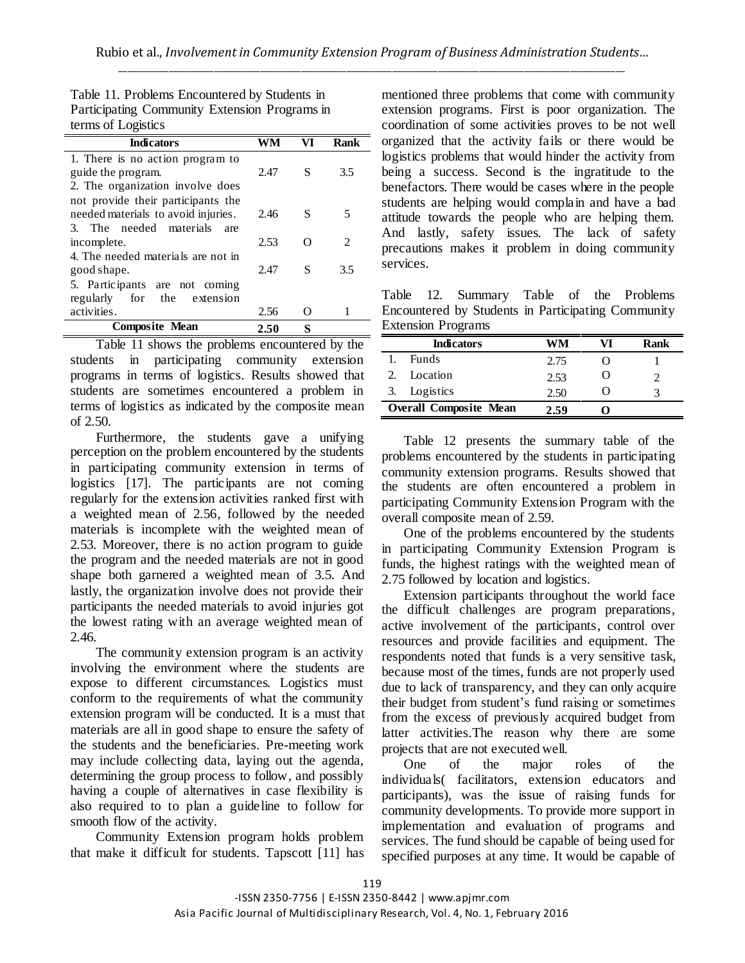| Table 11. Problems Encountered by Students in |  |
|-----------------------------------------------|--|
| Participating Community Extension Programs in |  |
| terms of Logistics                            |  |

| <b>Indicators</b>                   | WM   | VI | Rank           |
|-------------------------------------|------|----|----------------|
| 1. There is no action program to    |      |    |                |
| guide the program.                  | 2.47 | S  | 3.5            |
| 2. The organization involve does    |      |    |                |
| not provide their participants the  |      |    |                |
| needed materials to avoid injuries. | 2.46 | S  | 5              |
| 3. The needed materials<br>are      |      |    |                |
| incomplete.                         | 2.53 |    | $\mathfrak{D}$ |
| 4. The needed materials are not in  |      |    |                |
| good shape.                         | 2.47 | S  | 3.5            |
| 5. Participants are not coming      |      |    |                |
| regularly for the extension         |      |    |                |
| activities.                         | 2.56 | 0  |                |
| <b>Composite Mean</b>               | 2.50 | S  |                |

Table 11 shows the problems encountered by the students in participating community extension programs in terms of logistics. Results showed that students are sometimes encountered a problem in terms of logistics as indicated by the composite mean of 2.50.

Furthermore, the students gave a unifying perception on the problem encountered by the students in participating community extension in terms of logistics [17]. The participants are not coming regularly for the extension activities ranked first with a weighted mean of 2.56, followed by the needed materials is incomplete with the weighted mean of 2.53. Moreover, there is no action program to guide the program and the needed materials are not in good shape both garnered a weighted mean of 3.5. And lastly, the organization involve does not provide their participants the needed materials to avoid injuries got the lowest rating with an average weighted mean of 2.46.

The community extension program is an activity involving the environment where the students are expose to different circumstances. Logistics must conform to the requirements of what the community extension program will be conducted. It is a must that materials are all in good shape to ensure the safety of the students and the beneficiaries. Pre-meeting work may include collecting data, laying out the agenda, determining the group process to follow, and possibly having a couple of alternatives in case flexibility is also required to to plan a guideline to follow for smooth flow of the activity.

Community Extension program holds problem that make it difficult for students. Tapscott [11] has mentioned three problems that come with community extension programs. First is poor organization. The coordination of some activities proves to be not well organized that the activity fails or there would be logistics problems that would hinder the activity from being a success. Second is the ingratitude to the benefactors. There would be cases where in the people students are helping would complain and have a bad attitude towards the people who are helping them. And lastly, safety issues. The lack of safety precautions makes it problem in doing community services.

Table 12. Summary Table of the Problems Encountered by Students in Participating Community Extension Programs

|    | <b>Indicators</b>             | WM   | Rank |
|----|-------------------------------|------|------|
|    | <b>Funds</b>                  | 2.75 |      |
|    | Location                      | 2.53 |      |
| 3. | Logistics                     | 2.50 |      |
|    | <b>Overall Composite Mean</b> | 2.59 |      |

Table 12 presents the summary table of the problems encountered by the students in participating community extension programs. Results showed that the students are often encountered a problem in participating Community Extension Program with the overall composite mean of 2.59.

One of the problems encountered by the students in participating Community Extension Program is funds, the highest ratings with the weighted mean of 2.75 followed by location and logistics.

Extension participants throughout the world face the difficult challenges are program preparations, active involvement of the participants, control over resources and provide facilities and equipment. The respondents noted that funds is a very sensitive task, because most of the times, funds are not properly used due to lack of transparency, and they can only acquire their budget from student"s fund raising or sometimes from the excess of previously acquired budget from latter activities.The reason why there are some projects that are not executed well.

One of the major roles of the individuals( facilitators, extension educators and participants), was the issue of raising funds for community developments. To provide more support in implementation and evaluation of programs and services. The fund should be capable of being used for specified purposes at any time. It would be capable of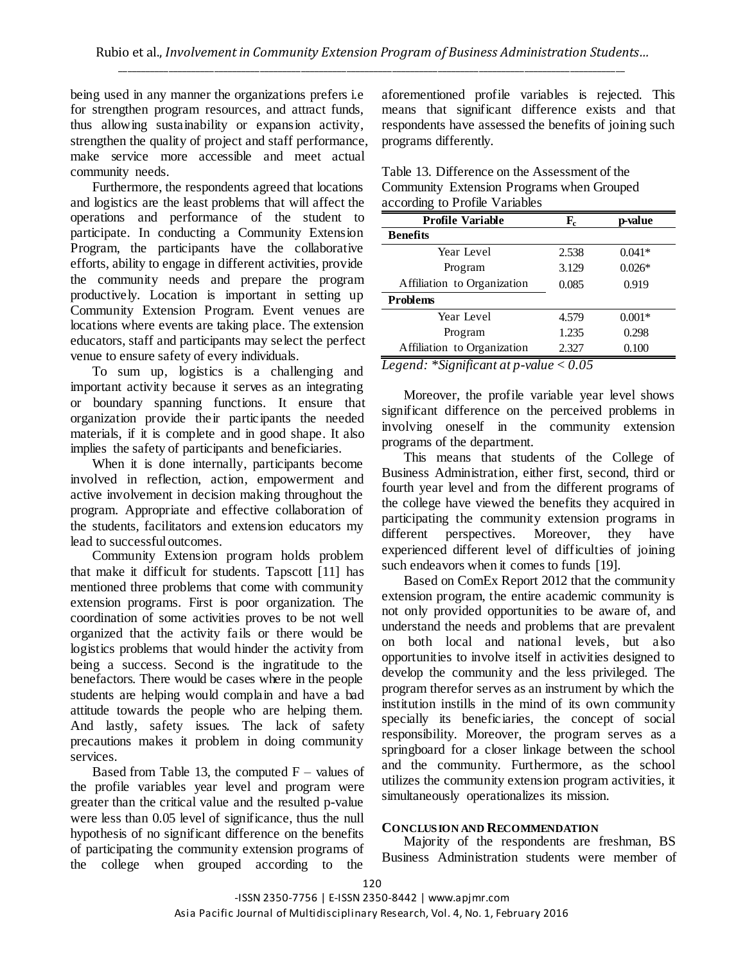being used in any manner the organizations prefers i.e for strengthen program resources, and attract funds, thus allowing sustainability or expansion activity, strengthen the quality of project and staff performance, make service more accessible and meet actual community needs.

Furthermore, the respondents agreed that locations and logistics are the least problems that will affect the operations and performance of the student to participate. In conducting a Community Extension Program, the participants have the collaborative efforts, ability to engage in different activities, provide the community needs and prepare the program productively. Location is important in setting up Community Extension Program. Event venues are locations where events are taking place. The extension educators, staff and participants may select the perfect venue to ensure safety of every individuals.

To sum up, logistics is a challenging and important activity because it serves as an integrating or boundary spanning functions. It ensure that organization provide their participants the needed materials, if it is complete and in good shape. It also implies the safety of participants and beneficiaries.

When it is done internally, participants become involved in reflection, action, empowerment and active involvement in decision making throughout the program. Appropriate and effective collaboration of the students, facilitators and extension educators my lead to successful outcomes.

Community Extension program holds problem that make it difficult for students. Tapscott [11] has mentioned three problems that come with community extension programs. First is poor organization. The coordination of some activities proves to be not well organized that the activity fails or there would be logistics problems that would hinder the activity from being a success. Second is the ingratitude to the benefactors. There would be cases where in the people students are helping would complain and have a bad attitude towards the people who are helping them. And lastly, safety issues. The lack of safety precautions makes it problem in doing community services.

Based from Table 13, the computed  $F -$  values of the profile variables year level and program were greater than the critical value and the resulted p-value were less than 0.05 level of significance, thus the null hypothesis of no significant difference on the benefits of participating the community extension programs of the college when grouped according to the

aforementioned profile variables is rejected. This means that significant difference exists and that respondents have assessed the benefits of joining such programs differently.

| Table 13. Difference on the Assessment of the |
|-----------------------------------------------|
| Community Extension Programs when Grouped     |
| according to Profile Variables                |

| <b>Profile Variable</b>     | ${\bf F_c}$ | p-value  |
|-----------------------------|-------------|----------|
| Benefits                    |             |          |
| Year Level                  | 2.538       | $0.041*$ |
| Program                     | 3.129       | $0.026*$ |
| Affiliation to Organization | 0.085       | 0.919    |
| <b>Problems</b>             |             |          |
| Year Level                  | 4.579       | $0.001*$ |
| Program                     | 1.235       | 0.298    |
| Affiliation to Organization | 2.327       | 0.100    |
|                             |             |          |

*Legend: \*Significant at p-value < 0.05*

Moreover, the profile variable year level shows significant difference on the perceived problems in involving oneself in the community extension programs of the department.

This means that students of the College of Business Administration, either first, second, third or fourth year level and from the different programs of the college have viewed the benefits they acquired in participating the community extension programs in different perspectives. Moreover, they have experienced different level of difficulties of joining such endeavors when it comes to funds [19].

Based on ComEx Report 2012 that the community extension program, the entire academic community is not only provided opportunities to be aware of, and understand the needs and problems that are prevalent on both local and national levels, but also opportunities to involve itself in activities designed to develop the community and the less privileged. The program therefor serves as an instrument by which the institution instills in the mind of its own community specially its beneficiaries, the concept of social responsibility. Moreover, the program serves as a springboard for a closer linkage between the school and the community. Furthermore, as the school utilizes the community extension program activities, it simultaneously operationalizes its mission.

#### **CONCLUSION AND RECOMMENDATION**

Majority of the respondents are freshman, BS Business Administration students were member of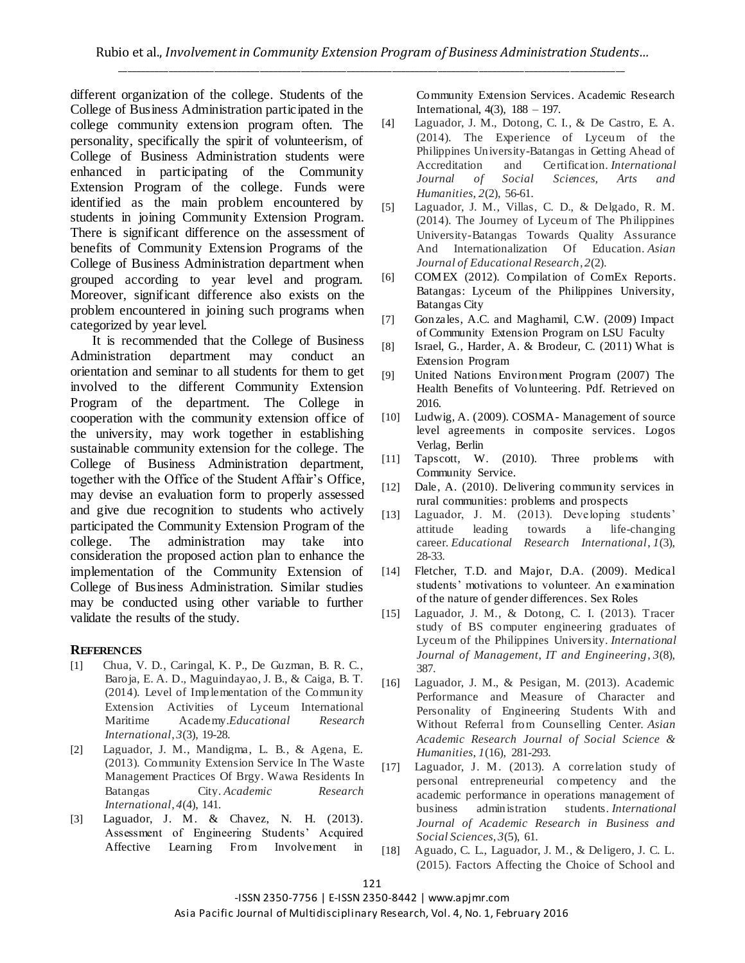different organization of the college. Students of the College of Business Administration participated in the college community extension program often. The personality, specifically the spirit of volunteerism, of College of Business Administration students were enhanced in participating of the Community Extension Program of the college. Funds were identified as the main problem encountered by students in joining Community Extension Program. There is significant difference on the assessment of benefits of Community Extension Programs of the College of Business Administration department when grouped according to year level and program. Moreover, significant difference also exists on the problem encountered in joining such programs when categorized by year level.

It is recommended that the College of Business Administration department may conduct orientation and seminar to all students for them to get involved to the different Community Extension Program of the department. The College in cooperation with the community extension office of the university, may work together in establishing sustainable community extension for the college. The College of Business Administration department, together with the Office of the Student Affair"s Office, may devise an evaluation form to properly assessed and give due recognition to students who actively participated the Community Extension Program of the college. The administration may take into consideration the proposed action plan to enhance the implementation of the Community Extension of College of Business Administration. Similar studies may be conducted using other variable to further validate the results of the study.

## **REFERENCES**

- [1] Chua, V. D., Caringal, K. P., De Guzman, B. R. C., Baroja, E. A. D., Maguindayao, J. B., & Caiga, B. T. (2014). Level of Implementation of the Community Extension Activities of Lyceum International Maritime Academy.*Educational Research International*, *3*(3), 19-28.
- [2] Laguador, J. M., Mandigma, L. B., & Agena, E. (2013). Community Extension Service In The Waste Management Practices Of Brgy. Wawa Residents In Batangas City. *Academic Research International*, *4*(4), 141.
- [3] Laguador, J. M. & Chavez, N. H. (2013). Assessment of Engineering Students" Acquired Affective Learning From Involvement in

Community Extension Services. Academic Research International, 4(3), 188 – 197.

- [4] Laguador, J. M., Dotong, C. I., & De Castro, E. A. (2014). The Experience of Lyceum of the Philippines University-Batangas in Getting Ahead of Accreditation and Certification. *International Journal of Social Sciences, Arts and Humanities*, *2*(2), 56-61.
- [5] Laguador, J. M., Villas, C. D., & Delgado, R. M. (2014). The Journey of Lyceum of The Philippines University-Batangas Towards Quality Assurance And Internationalization Of Education. *Asian Journal of Educational Research*, *2*(2).
- [6] COMEX (2012). Compilation of ComEx Reports. Batangas: Lyceum of the Philippines University, Batangas City
- [7] Gonzales, A.C. and Maghamil, C.W. (2009) Impact of Community Extension Program on LSU Faculty
- [8] Israel, G., Harder, A. & Brodeur, C. (2011) What is Extension Program
- [9] United Nations Environment Program (2007) The Health Benefits of Volunteering. Pdf. Retrieved on 2016.
- [10] Ludwig, A. (2009). COSMA- Management of source level agreements in composite services. Logos Verlag, Berlin
- [11] Tapscott, W. (2010). Three problems with Community Service.
- [12] Dale, A. (2010). Delivering community services in rural communities: problems and prospects
- [13] Laguador, J. M. (2013). Developing students' attitude leading towards a life-changing career. *Educational Research International*, *1*(3), 28-33.
- [14] Fletcher, T.D. and Major, D.A. (2009). Medical students' motivations to volunteer. An examination of the nature of gender differences. Sex Roles
- [15] Laguador, J. M., & Dotong, C. I. (2013). Tracer study of BS computer engineering graduates of Lyceum of the Philippines University. *International Journal of Management, IT and Engineering*, *3*(8), 387.
- [16] Laguador, J. M., & Pesigan, M. (2013). Academic Performance and Measure of Character and Personality of Engineering Students With and Without Referral from Counselling Center. *Asian Academic Research Journal of Social Science & Humanities*, *1*(16), 281-293.
- [17] Laguador, J. M. (2013). A correlation study of personal entrepreneurial competency and the academic performance in operations management of business administration students. *International Journal of Academic Research in Business and Social Sciences*, *3*(5), 61.
- [18] Aguado, C. L., Laguador, J. M., & Deligero, J. C. L. (2015). Factors Affecting the Choice of School and